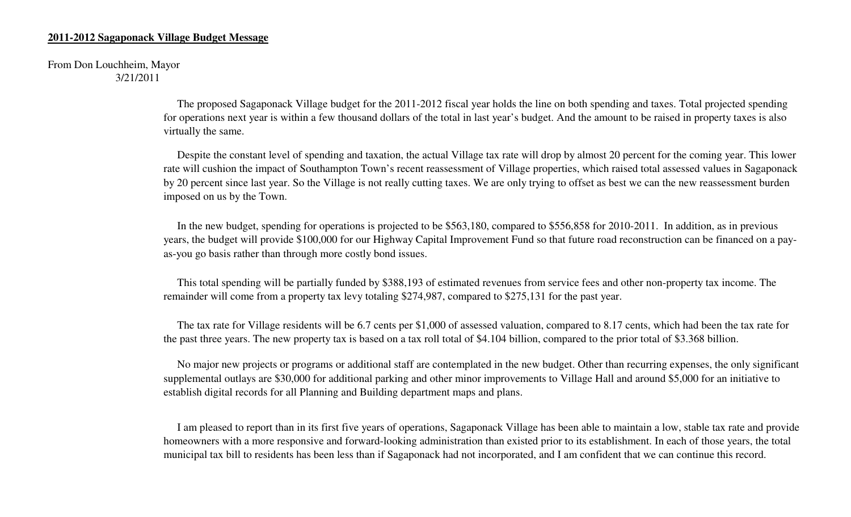#### **2011-2012 Sagaponack Village Budget Message**

From Don Louchheim, Mayor3/21/2011

> The proposed Sagaponack Village budget for the 2011-2012 fiscal year holds the line on both spending and taxes. Total projected spending for operations next year is within a few thousand dollars of the total in last year's budget. And the amount to be raised in property taxes is also virtually the same.

 Despite the constant level of spending and taxation, the actual Village tax rate will drop by almost 20 percent for the coming year. This lower rate will cushion the impact of Southampton Town's recent reassessment of Village properties, which raised total assessed values in Sagaponack by 20 percent since last year. So the Village is not really cutting taxes. We are only trying to offset as best we can the new reassessment burden imposed on us by the Town.

 In the new budget, spending for operations is projected to be \$563,180, compared to \$556,858 for 2010-2011. In addition, as in previous years, the budget will provide \$100,000 for our Highway Capital Improvement Fund so that future road reconstruction can be financed on a payas-you go basis rather than through more costly bond issues.

 This total spending will be partially funded by \$388,193 of estimated revenues from service fees and other non-property tax income. The remainder will come from a property tax levy totaling \$274,987, compared to \$275,131 for the past year.

 The tax rate for Village residents will be 6.7 cents per \$1,000 of assessed valuation, compared to 8.17 cents, which had been the tax rate for the past three years. The new property tax is based on a tax roll total of \$4.104 billion, compared to the prior total of \$3.368 billion.

 No major new projects or programs or additional staff are contemplated in the new budget. Other than recurring expenses, the only significant supplemental outlays are \$30,000 for additional parking and other minor improvements to Village Hall and around \$5,000 for an initiative to establish digital records for all Planning and Building department maps and plans.

 I am pleased to report than in its first five years of operations, Sagaponack Village has been able to maintain a low, stable tax rate and provide homeowners with a more responsive and forward-looking administration than existed prior to its establishment. In each of those years, the total municipal tax bill to residents has been less than if Sagaponack had not incorporated, and I am confident that we can continue this record.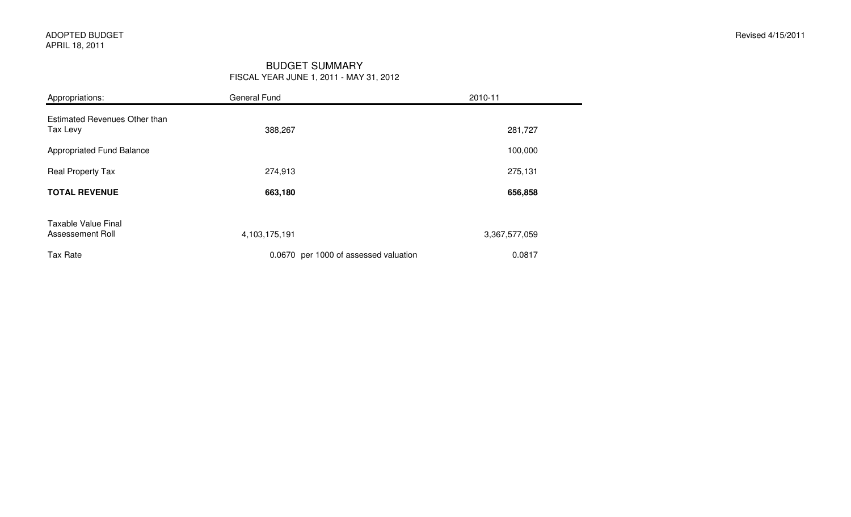#### BUDGET SUMMARYFISCAL YEAR JUNE 1, 2011 - MAY 31, 2012

| Appropriations:                                  | General Fund  |                                       | 2010-11       |  |  |
|--------------------------------------------------|---------------|---------------------------------------|---------------|--|--|
| <b>Estimated Revenues Other than</b><br>Tax Levy | 388,267       |                                       | 281,727       |  |  |
| Appropriated Fund Balance                        |               |                                       | 100,000       |  |  |
| Real Property Tax                                | 274,913       |                                       | 275,131       |  |  |
| <b>TOTAL REVENUE</b>                             | 663,180       |                                       | 656,858       |  |  |
| <b>Taxable Value Final</b><br>Assessement Roll   | 4,103,175,191 |                                       | 3,367,577,059 |  |  |
| <b>Tax Rate</b>                                  |               | 0.0670 per 1000 of assessed valuation | 0.0817        |  |  |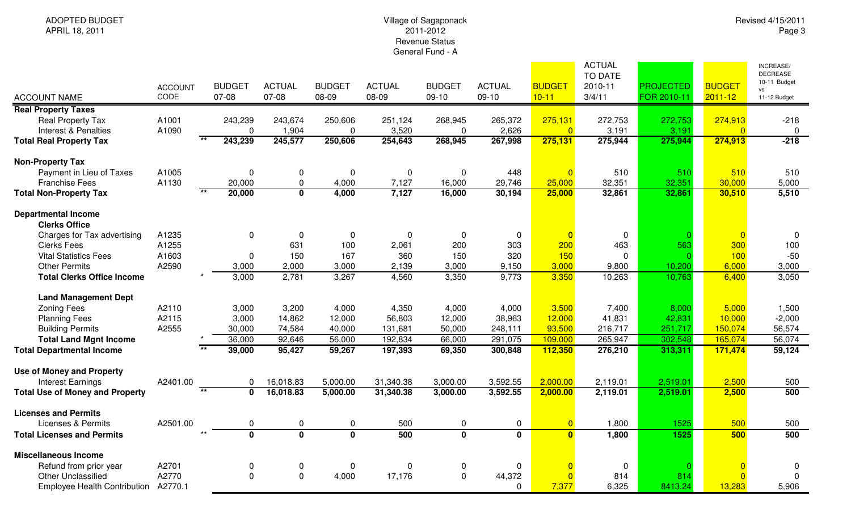## Village of Sagaponack 2011-2012 Revenue StatusGeneral Fund - A

|                                                    |                |                           |                         |                         |               |                         |                         |                | <b>ACTUAL</b><br>TO DATE |                  |                | <b>INCREASE/</b><br><b>DECREASE</b> |
|----------------------------------------------------|----------------|---------------------------|-------------------------|-------------------------|---------------|-------------------------|-------------------------|----------------|--------------------------|------------------|----------------|-------------------------------------|
|                                                    | <b>ACCOUNT</b> | <b>BUDGET</b>             | <b>ACTUAL</b>           | <b>BUDGET</b>           | <b>ACTUAL</b> | <b>BUDGET</b>           | <b>ACTUAL</b>           | <b>BUDGET</b>  | 2010-11                  | <b>PROJECTED</b> | <b>BUDGET</b>  | 10-11 Budget                        |
| <b>ACCOUNT NAME</b>                                | CODE           | 07-08                     | 07-08                   | 08-09                   | 08-09         | $09-10$                 | $09-10$                 | $10 - 11$      | 3/4/11                   | FOR 2010-11      | $2011 - 12$    | vs<br>11-12 Budget                  |
| <b>Real Property Taxes</b>                         |                |                           |                         |                         |               |                         |                         |                |                          |                  |                |                                     |
| <b>Real Property Tax</b>                           | A1001          | 243,239                   | 243,674                 | 250,606                 | 251,124       | 268,945                 | 265,372                 | 275,131        | 272,753                  | 272,753          | 274,913        | $-218$                              |
| Interest & Penalties                               | A1090          | 0                         | 1,904                   | 0                       | 3,520         | $\Omega$                | 2,626                   | $\Omega$       | 3,191                    | 3,191            | $\Omega$       | $\Omega$                            |
| <b>Total Real Property Tax</b>                     |                | 243,239                   | 245,577                 | 250,606                 | 254,643       | 268,945                 | 267,998                 | 275,131        | 275,944                  | 275,944          | 274,913        | $-218$                              |
| <b>Non-Property Tax</b>                            |                |                           |                         |                         |               |                         |                         |                |                          |                  |                |                                     |
| Payment in Lieu of Taxes                           | A1005          | 0                         | 0                       | 0                       | 0             | $\mathbf 0$             | 448                     |                | 510                      | 510              | 510            | 510                                 |
| <b>Franchise Fees</b>                              | A1130          | 20,000                    | $\mathbf 0$             | 4,000                   | 7,127         | 16,000                  | 29,746                  | 25,000         | 32,351                   | 32,351           | 30,000         | 5,000                               |
| <b>Total Non-Property Tax</b>                      |                | $\overline{**}$<br>20,000 | $\overline{\mathbf{0}}$ | 4,000                   | 7,127         | 16,000                  | 30,194                  | 25,000         | 32,861                   | 32,861           | 30,510         | 5,510                               |
| <b>Departmental Income</b><br><b>Clerks Office</b> |                |                           |                         |                         |               |                         |                         |                |                          |                  |                |                                     |
| Charges for Tax advertising                        | A1235          | 0                         | $\mathbf 0$             | 0                       | 0             | 0                       | $\mathbf 0$             |                | $\mathbf 0$              |                  | $\overline{0}$ | 0                                   |
| <b>Clerks Fees</b>                                 | A1255          |                           | 631                     | 100                     | 2,061         | 200                     | 303                     | 200            | 463                      | 563              | 300            | 100                                 |
| <b>Vital Statistics Fees</b>                       | A1603          | 0                         | 150                     | 167                     | 360           | 150                     | 320                     | 150            | $\mathbf 0$              |                  | 100            | $-50$                               |
| <b>Other Permits</b>                               | A2590          | 3,000                     | 2,000                   | 3,000                   | 2,139         | 3,000                   | 9,150                   | 3,000          | 9,800                    | 10,200           | 6,000          | 3,000                               |
| <b>Total Clerks Office Income</b>                  |                | 3,000                     | 2,781                   | 3,267                   | 4,560         | 3,350                   | 9,773                   | 3,350          | 10,263                   | 10,763           | 6,400          | 3,050                               |
| <b>Land Management Dept</b>                        |                |                           |                         |                         |               |                         |                         |                |                          |                  |                |                                     |
| <b>Zoning Fees</b>                                 | A2110          | 3,000                     | 3,200                   | 4,000                   | 4,350         | 4,000                   | 4,000                   | 3,500          | 7,400                    | 8,000            | 5,000          | 1,500                               |
| <b>Planning Fees</b>                               | A2115          | 3,000                     | 14,862                  | 12,000                  | 56,803        | 12,000                  | 38,963                  | 12,000         | 41,831                   | 42,831           | 10,000         | $-2,000$                            |
| <b>Building Permits</b>                            | A2555          | 30,000                    | 74,584                  | 40,000                  | 131,681       | 50,000                  | 248,111                 | 93,500         | 216,717                  | 251,717          | 150,074        | 56,574                              |
| <b>Total Land Mgnt Income</b>                      |                | 36,000                    | 92,646                  | 56,000                  | 192,834       | 66,000                  | 291,075                 | 109,000        | 265,947                  | 302,548          | 165,074        | 56,074                              |
| <b>Total Departmental Income</b>                   |                | 39,000                    | 95,427                  | 59,267                  | 197,393       | 69,350                  | 300,848                 | 112,350        | 276,210                  | 313,311          | 171,474        | 59,124                              |
| <b>Use of Money and Property</b>                   |                |                           |                         |                         |               |                         |                         |                |                          |                  |                |                                     |
| <b>Interest Earnings</b>                           | A2401.00       | 0                         | 16,018.83               | 5,000.00                | 31,340.38     | 3,000.00                | 3,592.55                | 2,000.00       | 2,119.01                 | 2,519.01         | 2,500          | 500                                 |
| <b>Total Use of Money and Property</b>             |                | $***$<br>$\mathbf 0$      | 16,018.83               | 5,000.00                | 31,340.38     | 3,000.00                | 3,592.55                | 2,000.00       | 2,119.01                 | 2,519.01         | 2,500          | 500                                 |
| <b>Licenses and Permits</b>                        |                |                           |                         |                         |               |                         |                         |                |                          |                  |                |                                     |
| <b>Licenses &amp; Permits</b>                      | A2501.00       | 0                         | $\mathbf 0$             | 0                       | 500           | $\mathbf 0$             | $\pmb{0}$               | $\overline{0}$ | 1,800                    | 1525             | 500            | 500                                 |
| <b>Total Licenses and Permits</b>                  |                | $\overline{\mathbf{0}}$   | $\overline{\mathbf{0}}$ | $\overline{\mathbf{0}}$ | 500           | $\overline{\mathbf{0}}$ | $\overline{\mathbf{0}}$ | $\mathbf{0}$   | 1,800                    | 1525             | 500            | 500                                 |
| <b>Miscellaneous Income</b>                        |                |                           |                         |                         |               |                         |                         |                |                          |                  |                |                                     |
| Refund from prior year                             | A2701          | 0                         | $\mathbf 0$             | 0                       | 0             | $\boldsymbol{0}$        | 0                       |                | 0                        |                  | $\Omega$       | 0                                   |
| <b>Other Unclassified</b>                          | A2770          | 0                         | $\mathbf 0$             | 4,000                   | 17,176        | $\pmb{0}$               | 44,372                  |                | 814                      | 814              | $\Omega$       | $\Omega$                            |
| <b>Employee Health Contribution</b>                | A2770.1        |                           |                         |                         |               |                         | $\Omega$                | 7,377          | 6,325                    | 8413.24          | 13,283         | 5,906                               |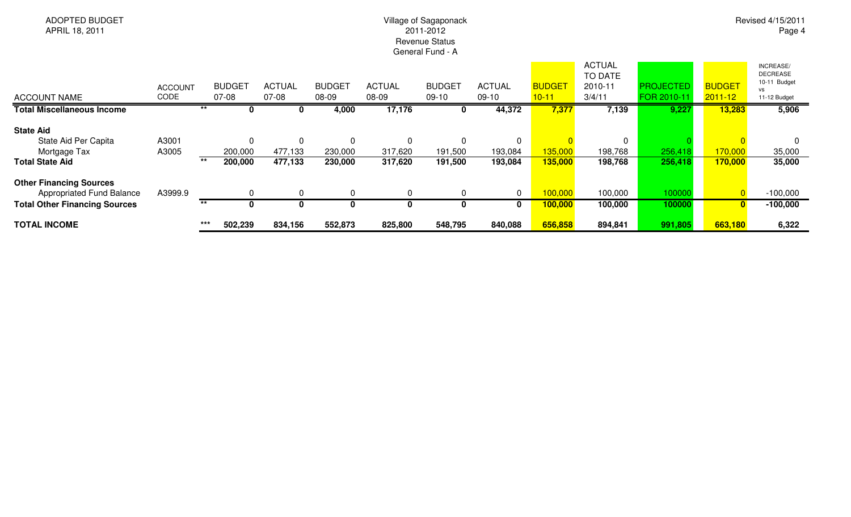# Village of Sagaponack 2011-2012 Revenue StatusGeneral Fund - A

Revised 4/15/2011Page 4

| <b>ACCOUNT NAME</b>                                                                                 | <b>ACCOUNT</b><br>CODE |       | <b>BUDGET</b><br>07-08 | <b>ACTUAL</b><br>$07-08$           | <b>BUDGET</b><br>08-09 | <b>ACTUAL</b><br>08-09         | <b>BUDGET</b><br>09-10         | <b>ACTUAL</b><br>$09-10$ | <b>BUDGET</b><br>$10 - 11$ | <b>ACTUAL</b><br>TO DATE<br>2010-11<br>3/4/11 | <b>PROJECTED</b><br>FOR 2010-11 | <b>BUDGET</b><br>$2011 - 12$ | INCREASE/<br><b>DECREASE</b><br>10-11 Budget<br>vs<br>11-12 Budget |
|-----------------------------------------------------------------------------------------------------|------------------------|-------|------------------------|------------------------------------|------------------------|--------------------------------|--------------------------------|--------------------------|----------------------------|-----------------------------------------------|---------------------------------|------------------------------|--------------------------------------------------------------------|
| <b>Total Miscellaneous Income</b>                                                                   |                        |       |                        |                                    | 4,000                  | 17,176                         |                                | 44,372                   | 7,377                      | 7,139                                         | 9,227                           | 13,283                       | 5,906                                                              |
| <b>State Aid</b><br>State Aid Per Capita<br>Mortgage Tax<br><b>Total State Aid</b>                  | A3001<br>A3005         | $***$ | 200,000<br>200,000     | $\mathbf{0}$<br>477,133<br>477,133 | 230,000<br>230,000     | $\Omega$<br>317,620<br>317,620 | $\Omega$<br>191,500<br>191,500 | 193,084<br>193,084       | 135,000<br>135,000         | 198,768<br>198,768                            | 256,418<br>256,418              | 170,000<br>170,000           | 35,000<br>35,000                                                   |
| <b>Other Financing Sources</b><br>Appropriated Fund Balance<br><b>Total Other Financing Sources</b> | A3999.9                | $***$ | 0                      | 0<br>0                             |                        | $\mathbf{0}$<br>0              | $\Omega$<br>0                  | $\mathbf{0}$             | 100,000<br>100,000         | 100,000<br>100,000                            | 100000<br>100000                | $\mathbf{0}$                 | $-100,000$<br>$-100,000$                                           |
| <b>TOTAL INCOME</b>                                                                                 |                        | ***   | 502,239                | 834,156                            | 552,873                | 825,800                        | 548,795                        | 840,088                  | 656,858                    | 894,841                                       | 991,805                         | 663,180                      | 6,322                                                              |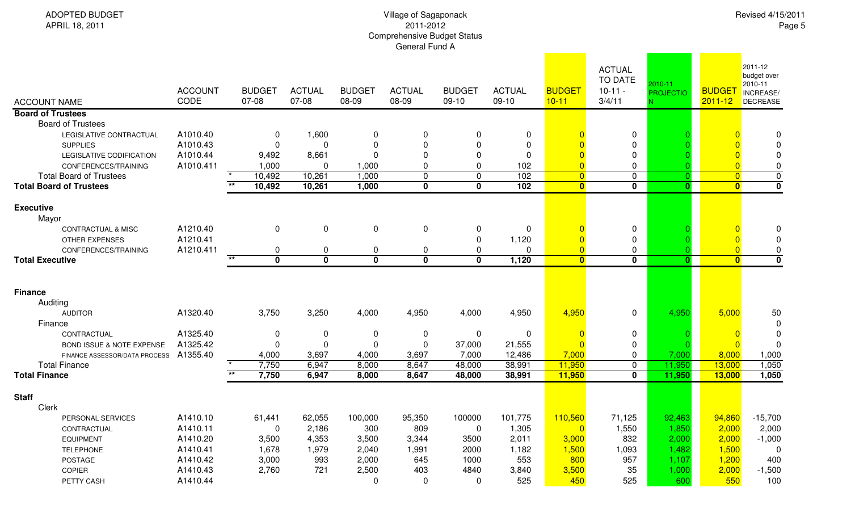| <b>ADOPTED BUDGET</b><br>APRIL 18, 2011                                                                                                                                                        | Village of Sagaponack<br>2011-2012<br><b>Comprehensive Budget Status</b><br>General Fund A |       |                                                     |                                                            |                                                 |                                                                                           |                                                                                     |                                                              |                                                       |                                                        |                             | Revised 4/15/2011<br>Page 5                   |                                                                   |  |  |  |
|------------------------------------------------------------------------------------------------------------------------------------------------------------------------------------------------|--------------------------------------------------------------------------------------------|-------|-----------------------------------------------------|------------------------------------------------------------|-------------------------------------------------|-------------------------------------------------------------------------------------------|-------------------------------------------------------------------------------------|--------------------------------------------------------------|-------------------------------------------------------|--------------------------------------------------------|-----------------------------|-----------------------------------------------|-------------------------------------------------------------------|--|--|--|
| <b>ACCOUNT NAME</b>                                                                                                                                                                            | <b>ACCOUNT</b><br>CODE                                                                     |       | <b>BUDGET</b><br>07-08                              | <b>ACTUAL</b><br>07-08                                     | <b>BUDGET</b><br>08-09                          | <b>ACTUAL</b><br>08-09                                                                    | <b>BUDGET</b><br>09-10                                                              | <b>ACTUAL</b><br>$09-10$                                     | <b>BUDGET</b><br>$10 - 11$                            | <b>ACTUAL</b><br><b>TO DATE</b><br>$10-11 -$<br>3/4/11 | 2010-11<br><b>PROJECTIO</b> | <b>BUDGE</b><br>$2011 - 12$                   | 2011-12<br>budget over<br>2010-11<br>INCREASE/<br>DECREASE        |  |  |  |
| <b>Board of Trustees</b>                                                                                                                                                                       |                                                                                            |       |                                                     |                                                            |                                                 |                                                                                           |                                                                                     |                                                              |                                                       |                                                        |                             |                                               |                                                                   |  |  |  |
| <b>Board of Trustees</b><br>LEGISLATIVE CONTRACTUAL<br><b>SUPPLIES</b><br>LEGISLATIVE CODIFICATION<br>CONFERENCES/TRAINING<br><b>Total Board of Trustees</b><br><b>Total Board of Trustees</b> | A1010.40<br>A1010.43<br>A1010.44<br>A1010.411                                              | $***$ | 0<br>$\Omega$<br>9,492<br>1,000<br>10,492<br>10,492 | 1,600<br>$\Omega$<br>8,661<br>$\Omega$<br>10,261<br>10,261 | $\Omega$<br>$\Omega$<br>1,000<br>1,000<br>1,000 | 0<br>$\mathbf 0$<br>$\mathbf 0$<br>$\mathbf{0}$<br>$\mathbf 0$<br>$\overline{\mathbf{0}}$ | 0<br>$\Omega$<br>$\mathbf{0}$<br>$\Omega$<br>$\mathbf 0$<br>$\overline{\mathbf{0}}$ | $\mathbf 0$<br>$\mathbf{0}$<br>$\Omega$<br>102<br>102<br>102 | $\Omega$<br>$\overline{0}$<br>$\overline{\mathbf{0}}$ | 0<br>0<br>0<br>0<br>$\mathbf{0}$<br>$\mathbf 0$        | $\mathbf{0}$                | $\overline{0}$<br>$\overline{0}$<br>$\bullet$ | $\Omega$<br>$\Omega$<br>0<br>$\pmb{0}$<br>$\overline{\mathbf{0}}$ |  |  |  |
| <b>Executive</b>                                                                                                                                                                               |                                                                                            |       |                                                     |                                                            |                                                 |                                                                                           |                                                                                     |                                                              |                                                       |                                                        |                             |                                               |                                                                   |  |  |  |
| Mayor                                                                                                                                                                                          |                                                                                            |       |                                                     |                                                            |                                                 |                                                                                           |                                                                                     |                                                              |                                                       |                                                        |                             |                                               |                                                                   |  |  |  |
| <b>CONTRACTUAL &amp; MISC</b>                                                                                                                                                                  | A1210.40                                                                                   |       | $\mathbf 0$                                         | $\mathbf 0$                                                | $\mathbf 0$                                     | $\mathbf 0$                                                                               | 0                                                                                   | $\mathbf 0$                                                  |                                                       | 0                                                      |                             | $\overline{0}$                                | 0                                                                 |  |  |  |
| <b>OTHER EXPENSES</b>                                                                                                                                                                          | A1210.41                                                                                   |       |                                                     |                                                            |                                                 |                                                                                           | 0                                                                                   | 1,120<br>$\Omega$                                            |                                                       | 0                                                      |                             |                                               | 0                                                                 |  |  |  |
| CONFERENCES/TRAINING<br><b>Total Executive</b>                                                                                                                                                 | A1210.411                                                                                  | $***$ | 0<br>$\overline{\mathbf{0}}$                        | $\mathbf 0$<br>$\overline{\mathbf{0}}$                     | 0<br>$\overline{\mathbf{0}}$                    | 0<br>$\overline{\mathbf{0}}$                                                              | 0<br>$\overline{\mathbf{0}}$                                                        | 1,120                                                        | $\overline{\mathbf{0}}$                               | 0<br>$\mathbf 0$                                       | $\mathbf{0}$                | $\overline{0}$<br>$\overline{\mathbf{0}}$     | 0<br>$\mathbf 0$                                                  |  |  |  |
|                                                                                                                                                                                                |                                                                                            |       |                                                     |                                                            |                                                 |                                                                                           |                                                                                     |                                                              |                                                       |                                                        |                             |                                               |                                                                   |  |  |  |
| <b>Finance</b><br>Auditing                                                                                                                                                                     |                                                                                            |       |                                                     |                                                            |                                                 |                                                                                           |                                                                                     |                                                              |                                                       |                                                        |                             |                                               |                                                                   |  |  |  |
| <b>AUDITOR</b><br>Finance                                                                                                                                                                      | A1320.40                                                                                   |       | 3,750                                               | 3,250                                                      | 4,000                                           | 4,950                                                                                     | 4,000                                                                               | 4,950                                                        | 4,950                                                 | $\mathbf 0$                                            | 4,950                       | 5,000                                         | 50<br>0                                                           |  |  |  |
| CONTRACTUAL<br>BOND ISSUE & NOTE EXPENSE                                                                                                                                                       | A1325.40<br>A1325.42                                                                       |       | 0<br>$\mathbf 0$                                    | $\boldsymbol{0}$<br>$\pmb{0}$                              | 0<br>$\pmb{0}$                                  | 0<br>$\mathbf 0$                                                                          | 0<br>37,000                                                                         | 0<br>21,555                                                  | $\Omega$                                              | 0<br>$\mathbf 0$                                       |                             | $\overline{0}$                                | 0<br>$\Omega$                                                     |  |  |  |

| FINANCE ASSESSOR/DATA PROCESS A1355.40 |          | 4,000  | 3,697  | 4,000   | 3,697  | 7,000  | 12,486  | 7,000   | 0      | 00 <sub>1</sub> | 8,000  | 1,000     |
|----------------------------------------|----------|--------|--------|---------|--------|--------|---------|---------|--------|-----------------|--------|-----------|
| <b>Total Finance</b>                   |          | 7,750  | 6,947  | 8,000   | 8,647  | 48,000 | 38,991  | 11,950  |        | 1,950           | 13,000 | 1,050     |
| <b>Total Finance</b>                   |          | 7,750  | 6,947  | 8,000   | 8,647  | 48,000 | 38,991  | 11,950  | 0      | 1,950           | 13,000 | 1,050     |
| <b>Staff</b>                           |          |        |        |         |        |        |         |         |        |                 |        |           |
| Clerk                                  |          |        |        |         |        |        |         |         |        |                 |        |           |
| PERSONAL SERVICES                      | A1410.10 | 61,441 | 62,055 | 100,000 | 95,350 | 100000 | 101,775 | 110,560 | 71,125 | 92,463          | 94,860 | $-15,700$ |
| CONTRACTUAL                            | A1410.11 | 0      | 2,186  | 300     | 809    |        | 1,305   |         | ,550   | .,850           | 2,000  | 2,000     |
| <b>EQUIPMENT</b>                       | A1410.20 | 3,500  | 4,353  | 3,500   | 3,344  | 3500   | 2,011   | 3,000   | 832    | 2,000           | 2,000  | $-1,000$  |
| <b>TELEPHONE</b>                       | A1410.41 | 678, ا | 1,979  | 2,040   | 991, ا | 2000   | 1,182   | 1,500   | ,093   | 1,482           | ,500   | 0         |
| POSTAGE                                | A1410.42 | 3,000  | 993    | 2,000   | 645    | 1000   | 553     | 800     | 957    | 1,107           | 1,200  | 400       |
| <b>COPIER</b>                          | A1410.43 | 2,760  | 721    | 2,500   | 403    | 4840   | 3,840   | 3,500   | 35     | 1,000           | 2,000  | $-1,500$  |
| PETTY CASH                             | A1410.44 |        |        |         |        |        | 525     | 450     | 525    | 600             | 550    | 100       |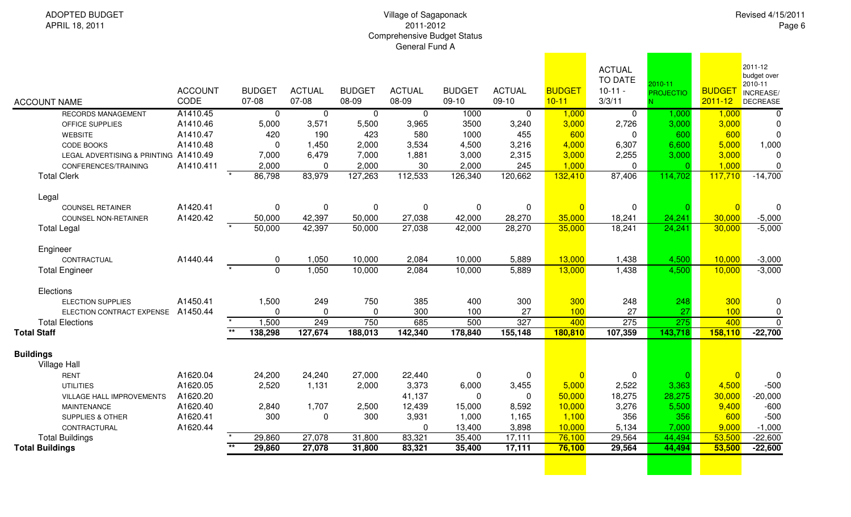| Revised 4/15/2011 |  |
|-------------------|--|
| Page 6            |  |

| <b>ACCOUNT NAME</b>                     | <b>ACCOUNT</b><br>CODE | <b>BUDGET</b><br>07-08    | <b>ACTUAL</b><br>07-08 | <b>BUDGET</b><br>08-09 | <b>ACTUAL</b><br>08-09 | <b>BUDGET</b><br>$09-10$ | <b>ACTUAL</b><br>$09-10$ | <b>BUDGET</b><br>$10 - 11$ | <b>ACTUAL</b><br><b>TO DATE</b><br>$10-11 -$<br>3/3/11 | $2010 - 11$<br><b>PROJECTIO</b> | <b>BUDGET</b><br>$2011 - 12$ | 2011-12<br>budget over<br>2010-11<br>INCREASE/<br>DECREASE |
|-----------------------------------------|------------------------|---------------------------|------------------------|------------------------|------------------------|--------------------------|--------------------------|----------------------------|--------------------------------------------------------|---------------------------------|------------------------------|------------------------------------------------------------|
| <b>RECORDS MANAGEMENT</b>               | A1410.45               | $\mathbf 0$               | $\mathbf 0$            | $\overline{0}$         | $\mathbf 0$            | 1000                     | $\mathbf 0$              | 1,000                      | $\mathbf 0$                                            | 1,000                           | 1,000                        | $\overline{0}$                                             |
| OFFICE SUPPLIES                         | A1410.46               | 5,000                     | 3,571                  | 5,500                  | 3,965                  | 3500                     | 3,240                    | 3,000                      | 2,726                                                  | 3,000                           | 3,000                        | $\mathbf 0$                                                |
| <b>WEBSITE</b>                          | A1410.47               | 420                       | 190                    | 423                    | 580                    | 1000                     | 455                      | 600                        | $\Omega$                                               | 600                             | 600                          | $\mathbf 0$                                                |
| CODE BOOKS                              | A1410.48               | $\mathbf{0}$              | 1,450                  | 2,000                  | 3,534                  | 4,500                    | 3,216                    | 4,000                      | 6,307                                                  | 6,600                           | 5,000                        | 1,000                                                      |
| LEGAL ADVERTISING & PRINTING A1410.49   |                        | 7,000                     | 6,479                  | 7,000                  | 1,881                  | 3,000                    | 2,315                    | 3,000                      | 2,255                                                  | 3,000                           | 3,000                        | $\Omega$                                                   |
| CONFERENCES/TRAINING                    | A1410.411              | 2,000                     | $\Omega$               | 2,000                  | 30                     | 2,000                    | 245                      | 1,000                      | $\Omega$                                               | $\Omega$                        | 1,000                        | $\mathbf 0$                                                |
| <b>Total Clerk</b>                      |                        | 86,798                    | 83,979                 | 127,263                | 112,533                | 126,340                  | 120,662                  | 132,410                    | 87,406                                                 | 114,702                         | 117,710                      | $-14,700$                                                  |
| Legal                                   |                        |                           |                        |                        |                        |                          |                          |                            |                                                        |                                 |                              |                                                            |
| <b>COUNSEL RETAINER</b>                 | A1420.41               | $\mathbf 0$               | $\pmb{0}$              | $\pmb{0}$              | 0                      | 0                        | 0                        | $\overline{0}$             | 0                                                      |                                 | $\overline{0}$               | $\mathbf 0$                                                |
| <b>COUNSEL NON-RETAINER</b>             | A1420.42               | 50,000                    | 42,397                 | 50,000                 | 27,038                 | 42,000                   | 28,270                   | 35,000                     | 18,241                                                 | 24,241                          | 30,000                       | $-5,000$                                                   |
| <b>Total Legal</b>                      |                        | 50,000                    | 42,397                 | 50,000                 | 27,038                 | 42,000                   | 28,270                   | 35,000                     | 18,241                                                 | 24,241                          | 30,000                       | $-5,000$                                                   |
| Engineer                                |                        |                           |                        |                        |                        |                          |                          |                            |                                                        |                                 |                              |                                                            |
| CONTRACTUAL                             | A1440.44               | 0                         | 1,050                  | 10,000                 | 2,084                  | 10,000                   | 5,889                    | 13,000                     | 1,438                                                  | 4,500                           | 10,000                       | $-3,000$                                                   |
| <b>Total Engineer</b>                   |                        | $\Omega$                  | 1,050                  | 10,000                 | 2,084                  | 10,000                   | 5,889                    | 13,000                     | 1,438                                                  | 4,500                           | 10,000                       | $-3,000$                                                   |
| Elections                               |                        |                           |                        |                        |                        |                          |                          |                            |                                                        |                                 |                              |                                                            |
| <b>ELECTION SUPPLIES</b>                | A1450.41               | 1,500                     | 249                    | 750                    | 385                    | 400                      | 300                      | 300                        | 248                                                    | 248                             | 300                          | 0                                                          |
| ELECTION CONTRACT EXPENSE A1450.44      |                        | $\mathbf{0}$              | $\Omega$               | $\mathbf 0$            | 300                    | 100                      | 27                       | 100                        | 27                                                     | 27                              | 100                          | $\pmb{0}$                                                  |
| <b>Total Elections</b>                  |                        | 1,500                     | 249                    | 750                    | 685                    | 500                      | 327                      | 400                        | 275                                                    | 275                             | 400                          | $\mathbf 0$                                                |
| <b>Total Staff</b>                      |                        | $***$<br>138,298          | 127,674                | 188,013                | 142,340                | 178,840                  | 155,148                  | 180,810                    | 107,359                                                | 143,718                         | 158,110                      | $-22,700$                                                  |
| <b>Buildings</b><br><b>Village Hall</b> |                        |                           |                        |                        |                        |                          |                          |                            |                                                        |                                 |                              |                                                            |
| <b>RENT</b>                             | A1620.04               | 24,200                    | 24,240                 | 27,000                 | 22,440                 | $\Omega$                 | $\mathbf 0$              | $\Omega$                   | $\Omega$                                               |                                 | $\overline{0}$               | $\mathbf 0$                                                |
| <b>UTILITIES</b>                        | A1620.05               | 2,520                     | 1,131                  | 2,000                  | 3,373                  | 6,000                    | 3,455                    | 5,000                      | 2,522                                                  | 3,363                           | 4,500                        | $-500$                                                     |
| VILLAGE HALL IMPROVEMENTS               | A1620.20               |                           |                        |                        | 41,137                 | $\Omega$                 | $\mathbf 0$              | 50,000                     | 18,275                                                 | 28,275                          | 30,000                       | $-20,000$                                                  |
| <b>MAINTENANCE</b>                      | A1620.40               | 2,840                     | 1,707                  | 2,500                  | 12,439                 | 15,000                   | 8,592                    | 10,000                     | 3,276                                                  | 5,500                           | 9,400                        | $-600$                                                     |
| <b>SUPPLIES &amp; OTHER</b>             | A1620.41               | 300                       | $\mathbf 0$            | 300                    | 3,931                  | 1,000                    | 1,165                    | 1,100                      | 356                                                    | 356                             | 600                          | $-500$                                                     |
| CONTRACTURAL                            | A1620.44               |                           |                        |                        | $\Omega$               | 13,400                   | 3,898                    | 10,000                     | 5,134                                                  | 7,000                           | 9,000                        | $-1,000$                                                   |
| <b>Total Buildings</b>                  |                        | 29,860                    | 27,078                 | 31,800                 | 83,321                 | 35,400                   | 17,111                   | 76,100                     | 29,564                                                 | 44,494                          | 53,500                       | $-22,600$                                                  |
| <b>Total Buildings</b>                  |                        | $\overline{**}$<br>29,860 | 27,078                 | 31,800                 | 83,321                 | 35,400                   | 17,111                   | 76,100                     | 29,564                                                 | 44,494                          | 53,500                       | $-22,600$                                                  |
|                                         |                        |                           |                        |                        |                        |                          |                          |                            |                                                        |                                 |                              |                                                            |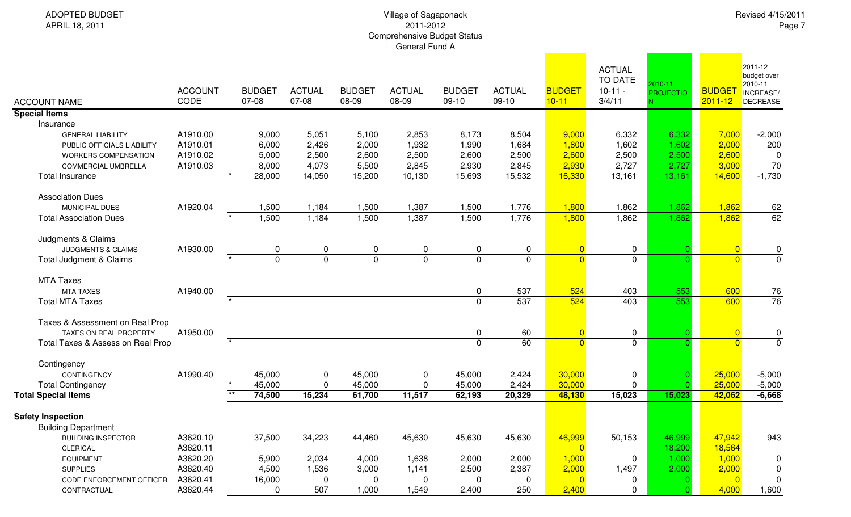| <b>ACCOUNT NAME</b>               | <b>ACCOUNT</b><br>CODE | <b>BUDGET</b><br>07-08 | <b>ACTUAL</b><br>07-08 | <b>BUDGET</b><br>08-09 | <b>ACTUAL</b><br>08-09 | <b>BUDGET</b><br>$09-10$ | <b>ACTUAL</b><br>09-10 | <b>BUDGET</b><br>$10 - 11$ | <b>ACTUAL</b><br>TO DATE<br>$10-11 -$<br>3/4/11 | 2010-11<br><b>PROJECTIO</b> | <b>BUDGE</b><br>$2011 - 12$ | 2011-12<br>budget over<br>2010-11<br>INCREASE/<br><b>DECREASE</b> |
|-----------------------------------|------------------------|------------------------|------------------------|------------------------|------------------------|--------------------------|------------------------|----------------------------|-------------------------------------------------|-----------------------------|-----------------------------|-------------------------------------------------------------------|
| <b>Special Items</b>              |                        |                        |                        |                        |                        |                          |                        |                            |                                                 |                             |                             |                                                                   |
| Insurance                         |                        |                        |                        |                        |                        |                          |                        |                            |                                                 |                             |                             |                                                                   |
| <b>GENERAL LIABILITY</b>          | A1910.00               | 9,000                  | 5,051                  | 5,100                  | 2,853                  | 8,173                    | 8,504                  | 9,000                      | 6,332                                           | 6,332                       | 7,000                       | $-2,000$                                                          |
| PUBLIC OFFICIALS LIABILITY        | A1910.01               | 6,000                  | 2,426                  | 2,000                  | 1,932                  | 1,990                    | 1,684                  | 1,800                      | 1,602                                           | 1,602                       | 2,000                       | 200                                                               |
| WORKERS COMPENSATION              | A1910.02               | 5,000                  | 2,500                  | 2,600                  | 2,500                  | 2,600                    | 2,500                  | 2,600                      | 2,500                                           | 2,500                       | 2,600                       | $\Omega$                                                          |
| <b>COMMERCIAL UMBRELLA</b>        | A1910.03               | 8,000                  | 4,073                  | 5,500                  | 2,845                  | 2,930                    | 2,845                  | 2,930                      | 2,727                                           | 2,727                       | 3,000                       | 70                                                                |
| <b>Total Insurance</b>            |                        | 28,000                 | 14,050                 | 15,200                 | 10,130                 | 15,693                   | 15,532                 | 16,330                     | 13,161                                          | 13,161                      | 14,600                      | $-1,730$                                                          |
| <b>Association Dues</b>           |                        |                        |                        |                        |                        |                          |                        |                            |                                                 |                             |                             |                                                                   |
| MUNICIPAL DUES                    | A1920.04               | 1,500                  | 1,184                  | 1,500                  | 1,387                  | 1,500                    | 1,776                  | 1,800                      | 1,862                                           | 1,862                       | 1,862                       |                                                                   |
| <b>Total Association Dues</b>     |                        | 1,500                  | 1,184                  | 1,500                  | 1,387                  | 1,500                    | 1,776                  | 1,800                      | 1,862                                           | 1,862                       | 1,862                       | $\frac{62}{62}$                                                   |
| Judgments & Claims                |                        |                        |                        |                        |                        |                          |                        |                            |                                                 |                             |                             |                                                                   |
| <b>JUDGMENTS &amp; CLAIMS</b>     | A1930.00               | 0                      | 0                      | 0                      | 0                      | 0                        | 0                      | $\overline{0}$             | $\mathbf 0$                                     |                             | $\overline{0}$              | $\mathbf{0}$                                                      |
| Total Judgment & Claims           |                        | $\overline{0}$         | $\overline{0}$         | 0                      | $\overline{0}$         | $\mathbf 0$              | $\mathbf 0$            | $\overline{0}$             | $\mathbf 0$                                     |                             | $\Omega$                    | $\overline{0}$                                                    |
| <b>MTA Taxes</b>                  |                        |                        |                        |                        |                        |                          |                        |                            |                                                 |                             |                             |                                                                   |
| <b>MTA TAXES</b>                  | A1940.00               |                        |                        |                        |                        | 0                        | 537                    | 524                        | 403                                             | 553                         | 600                         | $\frac{76}{76}$                                                   |
| <b>Total MTA Taxes</b>            |                        |                        |                        |                        |                        | $\Omega$                 | 537                    | 524                        | 403                                             | 553                         | 600                         |                                                                   |
| Taxes & Assessment on Real Prop   |                        |                        |                        |                        |                        |                          |                        |                            |                                                 |                             |                             |                                                                   |
| TAXES ON REAL PROPERTY            | A1950.00               |                        |                        |                        |                        | $\mathbf 0$              | 60                     | $\overline{0}$             | $\mathbf 0$                                     |                             | $\Omega$                    | $\frac{0}{0}$                                                     |
| Total Taxes & Assess on Real Prop |                        |                        |                        |                        |                        | $\Omega$                 | 60                     | $\overline{0}$             | $\mathbf 0$                                     |                             | $\Omega$                    |                                                                   |
| Contingency                       |                        |                        |                        |                        |                        |                          |                        |                            |                                                 |                             |                             |                                                                   |
| CONTINGENCY                       | A1990.40               | 45,000                 | 0                      | 45,000                 | 0                      | 45,000                   | 2,424                  | 30,000                     | 0                                               | 0                           | 25,000                      | $-5,000$                                                          |
| <b>Total Contingency</b>          |                        | 45,000                 | $\mathbf 0$            | 45,000                 | $\mathbf 0$            | 45,000                   | 2,424                  | 30,000                     | 0                                               | 0.                          | 25,000                      | $-5,000$                                                          |
| <b>Total Special Items</b>        |                        | $\star\star$<br>74,500 | 15,234                 | 61,700                 | 11,517                 | $\overline{62,193}$      | 20,329                 | 48,130                     | 15,023                                          | 15,023                      | 42,062                      | $-6,668$                                                          |
| <b>Safety Inspection</b>          |                        |                        |                        |                        |                        |                          |                        |                            |                                                 |                             |                             |                                                                   |
| <b>Building Department</b>        |                        |                        |                        |                        |                        |                          |                        |                            |                                                 |                             |                             |                                                                   |
| <b>BUILDING INSPECTOR</b>         | A3620.10               | 37,500                 | 34,223                 | 44,460                 | 45,630                 | 45,630                   | 45,630                 | 46,999                     | 50,153                                          | 46,999                      | 47,942                      | 943                                                               |
| CLERICAL                          | A3620.11               |                        |                        |                        |                        |                          |                        |                            |                                                 | 18,200                      | 18,564                      |                                                                   |
| <b>EQUIPMENT</b>                  | A3620.20               | 5,900                  | 2,034                  | 4,000                  | 1,638                  | 2,000                    | 2,000                  | 1,000                      | 0                                               | 1,000                       | 1,000                       | $\mathbf 0$                                                       |
| <b>SUPPLIES</b>                   | A3620.40               | 4,500                  | 1,536                  | 3,000                  | 1,141                  | 2,500                    | 2,387                  | 2,000                      | 1,497                                           | 2,000                       | 2,000                       | 0                                                                 |
| CODE ENFORCEMENT OFFICER          | A3620.41               | 16,000                 | 0                      | 0                      | 0                      | 0                        | 0                      | $\overline{0}$             | 0                                               |                             | $\overline{0}$              | 0                                                                 |
| CONTRACTUAL                       | A3620.44               | 0                      | 507                    | 1,000                  | 1,549                  | 2,400                    | 250                    | 2,400                      | 0                                               |                             | 4,000                       | 1,600                                                             |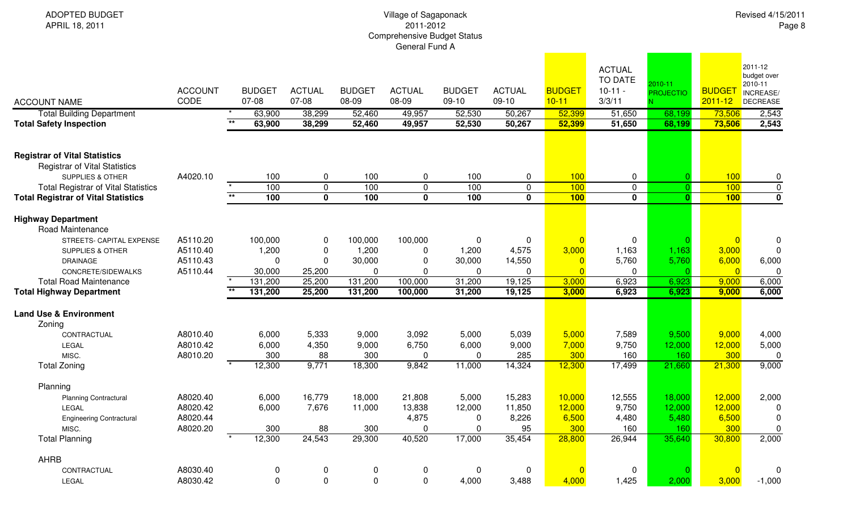ADOPTED BUDGETAPRIL 18, 2011

| <b>ACCOUNT NAME</b>                                                                                         | <b>ACCOUNT</b><br>CODE | <b>BUDGET</b><br>07-08              | <b>ACTUAL</b><br>07-08          | <b>BUDGET</b><br>08-09 | <b>ACTUAL</b><br>08-09  | <b>BUDGET</b><br>$09-10$ | <b>ACTUAL</b><br>$09-10$ | <b>BUDGET</b><br>$10 - 11$ | <b>ACTUAL</b><br><b>TO DATE</b><br>$10-11 -$<br>3/3/11 | 2010-11<br><b>PROJECTIO</b> | <b>BUDGET</b><br>$2011 - 12$ | 2011-12<br>budget over<br>2010-11<br>INCREASE/<br><b>DECREASE</b> |
|-------------------------------------------------------------------------------------------------------------|------------------------|-------------------------------------|---------------------------------|------------------------|-------------------------|--------------------------|--------------------------|----------------------------|--------------------------------------------------------|-----------------------------|------------------------------|-------------------------------------------------------------------|
| <b>Total Building Department</b><br><b>Total Safety Inspection</b>                                          |                        | 63,900<br>$\overline{**}$<br>63,900 | 38,299<br>38,299                | 52,460<br>52,460       | 49,957<br>49,957        | 52,530<br>52,530         | 50,267<br>50,267         | 52,399<br>52,399           | 51,650<br>51,650                                       | 68,199<br>68,199            | 73,506<br>73,506             | 2,543<br>2,543                                                    |
|                                                                                                             |                        |                                     |                                 |                        |                         |                          |                          |                            |                                                        |                             |                              |                                                                   |
| <b>Registrar of Vital Statistics</b><br><b>Registrar of Vital Statistics</b><br><b>SUPPLIES &amp; OTHER</b> | A4020.10               |                                     | 100<br>$\mathbf 0$              | 100                    | 0                       | 100                      | 0                        | 100                        | 0                                                      |                             | 100                          | $\mathbf 0$                                                       |
| <b>Total Registrar of Vital Statistics</b>                                                                  |                        |                                     | 100<br>$\overline{0}$           | 100                    | $\pmb{0}$               | 100                      | 0                        | 100                        | $\mathbf 0$                                            | $\Omega$                    | 100                          | $\pmb{0}$                                                         |
| <b>Total Registrar of Vital Statistics</b>                                                                  |                        | $***$                               | 100<br>$\overline{\mathbf{0}}$  | 100                    | $\overline{\mathbf{0}}$ | 100                      | $\mathbf 0$              | 100                        | $\mathbf 0$                                            | $\Omega$                    | 100                          | $\overline{\mathbf{0}}$                                           |
| <b>Highway Department</b><br>Road Maintenance                                                               |                        |                                     |                                 |                        |                         |                          |                          |                            |                                                        |                             |                              |                                                                   |
| STREETS- CAPITAL EXPENSE                                                                                    | A5110.20               | 100,000                             | $\mathbf 0$                     | 100,000                | 100,000                 | 0                        | 0                        |                            | $\mathbf{0}$                                           |                             | $\overline{0}$               | $\mathbf 0$                                                       |
| <b>SUPPLIES &amp; OTHER</b>                                                                                 | A5110.40               | 1,200                               | $\mathbf 0$                     | 1,200                  | 0                       | 1,200                    | 4,575                    | 3,000                      | 1,163                                                  | 1,163                       | 3,000                        | $\mathbf 0$                                                       |
| <b>DRAINAGE</b>                                                                                             | A5110.43               |                                     | $\mathbf 0$<br>$\mathbf 0$      | 30,000                 | $\mathbf 0$             | 30,000                   | 14,550                   |                            | 5,760                                                  | 5,760                       | 6,000                        | 6,000                                                             |
| CONCRETE/SIDEWALKS                                                                                          | A5110.44               | 30,000                              | 25,200                          | 0                      | $\Omega$                | 0                        | 0                        | $\Omega$                   | 0                                                      | O                           | $\overline{0}$               | $\Omega$                                                          |
| <b>Total Road Maintenance</b>                                                                               |                        | $\overline{\phantom{a}}$<br>131,200 | 25,200                          | 131,200                | 100,000                 | 31,200                   | 19,125                   | 3,000                      | 6,923                                                  | 6,923                       | 9,000                        | 6,000                                                             |
| <b>Total Highway Department</b>                                                                             |                        | $\star\star$<br>131,200             | 25,200                          | 131,200                | 100,000                 | 31,200                   | 19,125                   | 3,000                      | 6,923                                                  | 6,923                       | 9,000                        | 6,000                                                             |
| <b>Land Use &amp; Environment</b>                                                                           |                        |                                     |                                 |                        |                         |                          |                          |                            |                                                        |                             |                              |                                                                   |
| Zoning                                                                                                      |                        |                                     |                                 |                        |                         |                          |                          |                            |                                                        |                             |                              |                                                                   |
| CONTRACTUAL                                                                                                 | A8010.40               | 6,000                               | 5,333                           | 9,000                  | 3,092                   | 5,000                    | 5,039                    | 5,000                      | 7,589                                                  | 9,500                       | 9,000                        | 4,000                                                             |
| LEGAL                                                                                                       | A8010.42               | 6,000                               | 4,350                           | 9,000                  | 6,750                   | 6,000                    | 9,000                    | 7,000                      | 9,750                                                  | 12,000                      | 12,000                       | 5,000                                                             |
| MISC.                                                                                                       | A8010.20               |                                     | 300<br>88                       | 300                    | $\Omega$                | $\Omega$                 | 285                      | 300                        | 160                                                    | 160                         | 300                          | 0                                                                 |
| <b>Total Zoning</b>                                                                                         |                        | 12,300                              | 9,771                           | 18,300                 | 9,842                   | 11,000                   | 14,324                   | 12,300                     | 17,499                                                 | 21,660                      | 21,300                       | 9,000                                                             |
| Planning                                                                                                    |                        |                                     |                                 |                        |                         |                          |                          |                            |                                                        |                             |                              |                                                                   |
| <b>Planning Contractural</b>                                                                                | A8020.40               | 6,000                               | 16,779                          | 18,000                 | 21,808                  | 5,000                    | 15,283                   | 10,000                     | 12,555                                                 | 18,000                      | 12,000                       | 2,000                                                             |
| LEGAL                                                                                                       | A8020.42               | 6,000                               | 7,676                           | 11,000                 | 13,838                  | 12,000                   | 11,850                   | 12,000                     | 9,750                                                  | 12,000                      | 12,000                       | $\Omega$                                                          |
| <b>Engineering Contractural</b>                                                                             | A8020.44               |                                     |                                 |                        | 4,875                   | 0                        | 8,226                    | 6,500                      | 4,480                                                  | 5,480                       | 6,500                        | $\mathbf 0$                                                       |
| MISC.                                                                                                       | A8020.20               |                                     | 88<br>300                       | 300                    | $\mathbf 0$             | $\pmb{0}$                | 95                       | 300                        | 160                                                    | 160                         | 300                          | $\mathbf 0$                                                       |
| <b>Total Planning</b>                                                                                       |                        | 12,300                              | 24,543                          | 29,300                 | 40,520                  | 17,000                   | 35,454                   | 28,800                     | 26,944                                                 | 35,640                      | 30,800                       | 2,000                                                             |
| AHRB                                                                                                        |                        |                                     |                                 |                        |                         |                          |                          |                            |                                                        |                             |                              |                                                                   |
| CONTRACTUAL                                                                                                 | A8030.40               |                                     | $\mathbf 0$<br>$\boldsymbol{0}$ | $\mathbf 0$            | 0                       | $\pmb{0}$                | 0                        |                            | 0                                                      |                             | $\overline{0}$               | $\mathbf 0$                                                       |
| LEGAL                                                                                                       | A8030.42               |                                     | $\mathbf 0$<br>$\mathbf 0$      | $\mathbf 0$            | $\mathbf 0$             | 4,000                    | 3,488                    | 4,000                      | 1,425                                                  | 2,000                       | 3,000                        | $-1,000$                                                          |